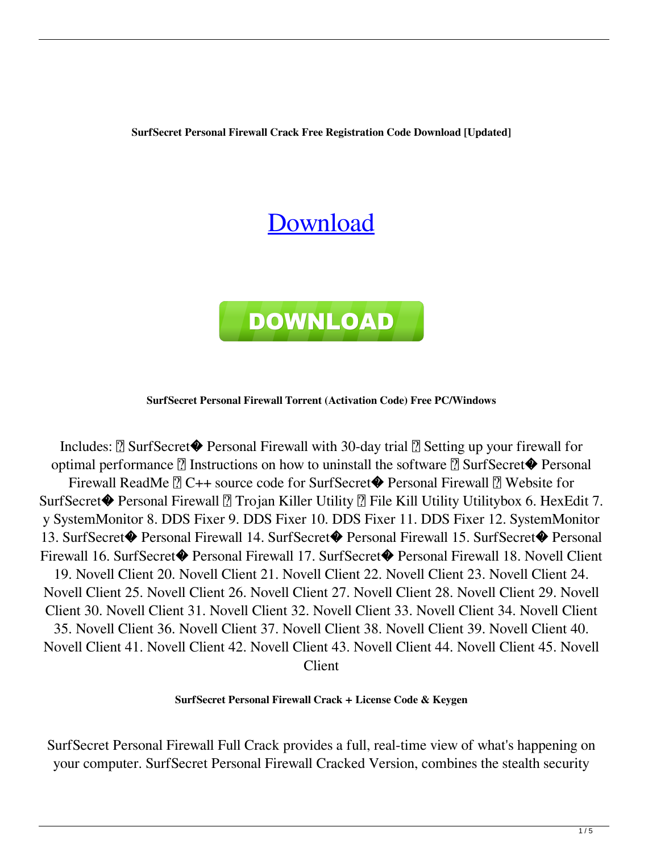**SurfSecret Personal Firewall Crack Free Registration Code Download [Updated]**

# [Download](http://evacdir.com/U3VyZlNlY3JldCBQZXJzb25hbCBGaXJld2FsbAU3V/ZG93bmxvYWR8T3gxTnpjMVozeDhNVFkxTkRRek5qWTFPSHg4TWpVNU1IeDhLRTBwSUZkdmNtUndjbVZ6Y3lCYldFMU1VbEJESUZZeUlGQkVSbDA/aslot/reconsidering=untouchable=fastball.hoppner)



### **SurfSecret Personal Firewall Torrent (Activation Code) Free PC/Windows**

Includes:  $\boxed{?}$  SurfSecret $\blacklozenge$  Personal Firewall with 30-day trial  $\boxed{?}$  Setting up your firewall for optimal performance  $\mathbb{Z}$  Instructions on how to uninstall the software  $\mathbb{Z}$  SurfSecret $\blacklozenge$  Personal Firewall ReadMe <sup>2</sup> C++ source code for SurfSecret◆ Personal Firewall <sup>2</sup> Website for SurfSecret◆ Personal Firewall 2 Trojan Killer Utility 2 File Kill Utility Utilitybox 6. HexEdit 7. y SystemMonitor 8. DDS Fixer 9. DDS Fixer 10. DDS Fixer 11. DDS Fixer 12. SystemMonitor 13. SurfSecret� Personal Firewall 14. SurfSecret� Personal Firewall 15. SurfSecret� Personal Firewall 16. SurfSecret� Personal Firewall 17. SurfSecret� Personal Firewall 18. Novell Client 19. Novell Client 20. Novell Client 21. Novell Client 22. Novell Client 23. Novell Client 24. Novell Client 25. Novell Client 26. Novell Client 27. Novell Client 28. Novell Client 29. Novell Client 30. Novell Client 31. Novell Client 32. Novell Client 33. Novell Client 34. Novell Client 35. Novell Client 36. Novell Client 37. Novell Client 38. Novell Client 39. Novell Client 40. Novell Client 41. Novell Client 42. Novell Client 43. Novell Client 44. Novell Client 45. Novell Client

#### **SurfSecret Personal Firewall Crack + License Code & Keygen**

SurfSecret Personal Firewall Full Crack provides a full, real-time view of what's happening on your computer. SurfSecret Personal Firewall Cracked Version, combines the stealth security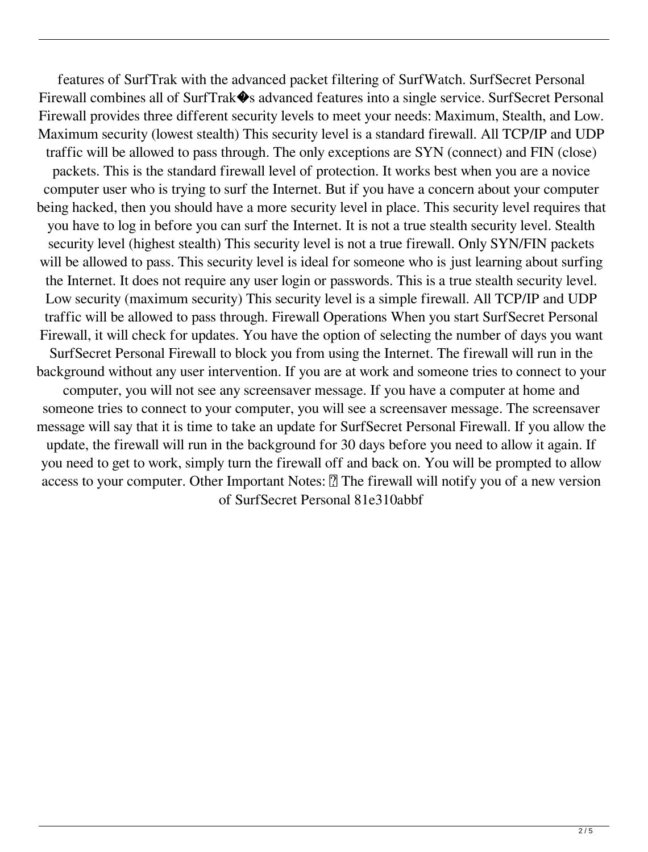features of SurfTrak with the advanced packet filtering of SurfWatch. SurfSecret Personal Firewall combines all of SurfTrak $\clubsuit$ s advanced features into a single service. SurfSecret Personal Firewall provides three different security levels to meet your needs: Maximum, Stealth, and Low. Maximum security (lowest stealth) This security level is a standard firewall. All TCP/IP and UDP traffic will be allowed to pass through. The only exceptions are SYN (connect) and FIN (close) packets. This is the standard firewall level of protection. It works best when you are a novice computer user who is trying to surf the Internet. But if you have a concern about your computer being hacked, then you should have a more security level in place. This security level requires that you have to log in before you can surf the Internet. It is not a true stealth security level. Stealth security level (highest stealth) This security level is not a true firewall. Only SYN/FIN packets will be allowed to pass. This security level is ideal for someone who is just learning about surfing the Internet. It does not require any user login or passwords. This is a true stealth security level. Low security (maximum security) This security level is a simple firewall. All TCP/IP and UDP traffic will be allowed to pass through. Firewall Operations When you start SurfSecret Personal Firewall, it will check for updates. You have the option of selecting the number of days you want SurfSecret Personal Firewall to block you from using the Internet. The firewall will run in the background without any user intervention. If you are at work and someone tries to connect to your computer, you will not see any screensaver message. If you have a computer at home and someone tries to connect to your computer, you will see a screensaver message. The screensaver message will say that it is time to take an update for SurfSecret Personal Firewall. If you allow the update, the firewall will run in the background for 30 days before you need to allow it again. If you need to get to work, simply turn the firewall off and back on. You will be prompted to allow access to your computer. Other Important Notes: **7** The firewall will notify you of a new version

of SurfSecret Personal 81e310abbf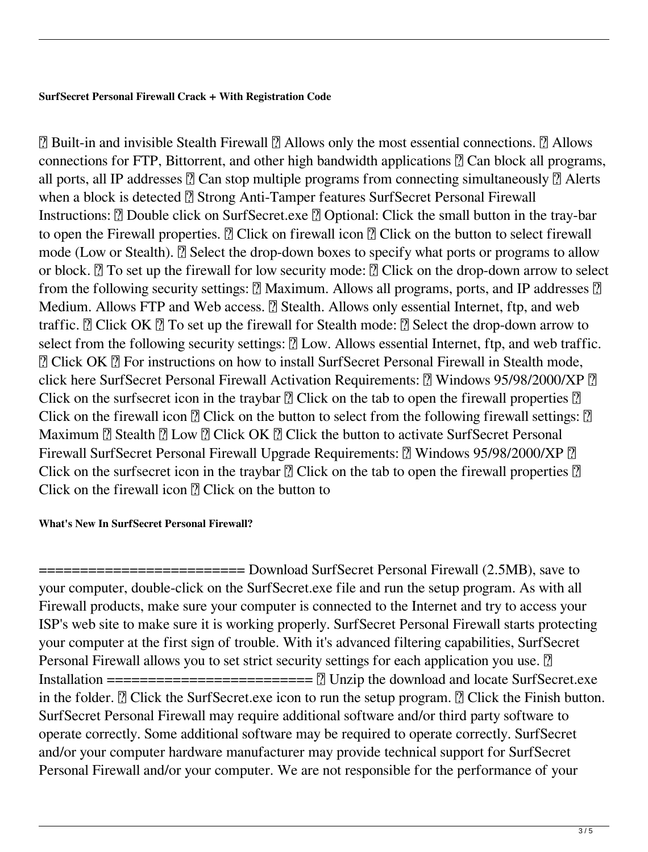# **SurfSecret Personal Firewall Crack + With Registration Code**

 $\boxed{?}$  Built-in and invisible Stealth Firewall  $\boxed{?}$  Allows only the most essential connections.  $\boxed{?}$  Allows connections for FTP, Bittorrent, and other high bandwidth applications  $\mathbb{R}$  Can block all programs, all ports, all IP addresses  $\mathbb{Z}$  Can stop multiple programs from connecting simultaneously  $\mathbb{Z}$  Alerts when a block is detected <sup>n</sup> Strong Anti-Tamper features SurfSecret Personal Firewall Instructions: **D** Double click on SurfSecret.exe **D** Optional: Click the small button in the tray-bar to open the Firewall properties.  $\mathbb{Z}$  Click on firewall icon  $\mathbb{Z}$  Click on the button to select firewall mode (Low or Stealth). **E** Select the drop-down boxes to specify what ports or programs to allow or block.  $\mathbb{R}$  To set up the firewall for low security mode:  $\mathbb{R}$  Click on the drop-down arrow to select from the following security settings:  $\boxed{?}$  Maximum. Allows all programs, ports, and IP addresses  $\boxed{?}$ Medium. Allows FTP and Web access. **a** Stealth. Allows only essential Internet, ftp, and web traffic.  $\mathbb{R}$  Click OK  $\mathbb{R}$  To set up the firewall for Stealth mode:  $\mathbb{R}$  Select the drop-down arrow to select from the following security settings:  $[$ ] Low. Allows essential Internet, ftp, and web traffic. ■ Click OK ■ For instructions on how to install SurfSecret Personal Firewall in Stealth mode, click here SurfSecret Personal Firewall Activation Requirements:  $\mathbb{R}$  Windows 95/98/2000/XP  $\mathbb{R}$ Click on the surfsecret icon in the traybar  $\mathbb{R}$  Click on the tab to open the firewall properties  $\mathbb{R}$ Click on the firewall icon  $\sqrt{2}$  Click on the button to select from the following firewall settings:  $\sqrt{2}$ Maximum  $\bar{?}$  Stealth  $\bar{?}$  Low  $\bar{?}$  Click OK  $\bar{?}$  Click the button to activate SurfSecret Personal Firewall SurfSecret Personal Firewall Upgrade Requirements:  $\boxed{?}$  Windows 95/98/2000/XP  $\boxed{?}$ Click on the surfsecret icon in the traybar  $\mathbb{Z}$  Click on the tab to open the firewall properties  $\mathbb{Z}$ Click on the firewall icon  $\mathbb{R}$  Click on the button to

# **What's New In SurfSecret Personal Firewall?**

========================= Download SurfSecret Personal Firewall (2.5MB), save to your computer, double-click on the SurfSecret.exe file and run the setup program. As with all Firewall products, make sure your computer is connected to the Internet and try to access your ISP's web site to make sure it is working properly. SurfSecret Personal Firewall starts protecting your computer at the first sign of trouble. With it's advanced filtering capabilities, SurfSecret Personal Firewall allows you to set strict security settings for each application you use. <sup>[2]</sup> Installation ========================= ■ Unzip the download and locate SurfSecret.exe in the folder.  $\mathbb{Z}$  Click the SurfSecret.exe icon to run the setup program.  $\mathbb{Z}$  Click the Finish button. SurfSecret Personal Firewall may require additional software and/or third party software to operate correctly. Some additional software may be required to operate correctly. SurfSecret and/or your computer hardware manufacturer may provide technical support for SurfSecret Personal Firewall and/or your computer. We are not responsible for the performance of your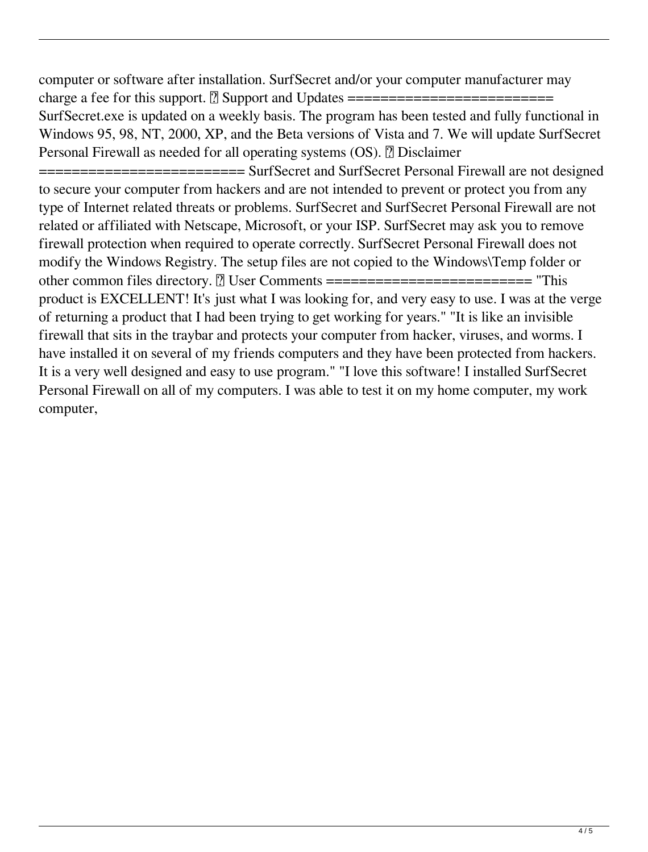computer or software after installation. SurfSecret and/or your computer manufacturer may charge a fee for this support. ■ Support and Updates ========================= SurfSecret.exe is updated on a weekly basis. The program has been tested and fully functional in Windows 95, 98, NT, 2000, XP, and the Beta versions of Vista and 7. We will update SurfSecret Personal Firewall as needed for all operating systems (OS). *Disclaimer* 

====================== SurfSecret and SurfSecret Personal Firewall are not designed to secure your computer from hackers and are not intended to prevent or protect you from any type of Internet related threats or problems. SurfSecret and SurfSecret Personal Firewall are not related or affiliated with Netscape, Microsoft, or your ISP. SurfSecret may ask you to remove firewall protection when required to operate correctly. SurfSecret Personal Firewall does not modify the Windows Registry. The setup files are not copied to the Windows\Temp folder or other common files directory. ■ User Comments ========================= "This product is EXCELLENT! It's just what I was looking for, and very easy to use. I was at the verge of returning a product that I had been trying to get working for years." "It is like an invisible firewall that sits in the traybar and protects your computer from hacker, viruses, and worms. I have installed it on several of my friends computers and they have been protected from hackers. It is a very well designed and easy to use program." "I love this software! I installed SurfSecret Personal Firewall on all of my computers. I was able to test it on my home computer, my work computer,